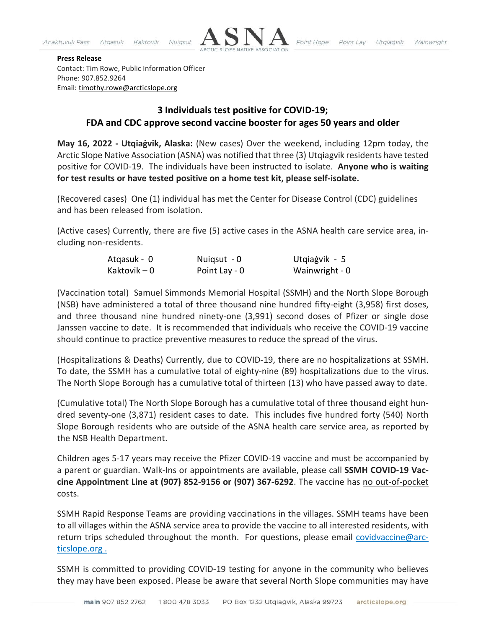

## **Press Release**

Contact: Tim Rowe, Public Information Officer Phone: 907.852.9264 Email: [timothy.rowe@arcticslope.org](mailto:timothy.rowe@arcticslope.org)

## **3 Individuals test positive for COVID-19; FDA and CDC approve second vaccine booster for ages 50 years and older**

**May 16, 2022 - Utqiaġvik, Alaska:** (New cases) Over the weekend, including 12pm today, the Arctic Slope Native Association (ASNA) was notified that three (3) Utqiagvik residents have tested positive for COVID-19. The individuals have been instructed to isolate. **Anyone who is waiting for test results or have tested positive on a home test kit, please self-isolate.**

(Recovered cases) One (1) individual has met the Center for Disease Control (CDC) guidelines and has been released from isolation.

(Active cases) Currently, there are five (5) active cases in the ASNA health care service area, including non-residents.

| Atgasuk - 0  | Nuigsut - 0   | Utqiagvik - 5  |
|--------------|---------------|----------------|
| Kaktovik – 0 | Point Lay - 0 | Wainwright - 0 |

(Vaccination total) Samuel Simmonds Memorial Hospital (SSMH) and the North Slope Borough (NSB) have administered a total of three thousand nine hundred fifty-eight (3,958) first doses, and three thousand nine hundred ninety-one (3,991) second doses of Pfizer or single dose Janssen vaccine to date. It is recommended that individuals who receive the COVID-19 vaccine should continue to practice preventive measures to reduce the spread of the virus.

(Hospitalizations & Deaths) Currently, due to COVID-19, there are no hospitalizations at SSMH. To date, the SSMH has a cumulative total of eighty-nine (89) hospitalizations due to the virus. The North Slope Borough has a cumulative total of thirteen (13) who have passed away to date.

(Cumulative total) The North Slope Borough has a cumulative total of three thousand eight hundred seventy-one (3,871) resident cases to date. This includes five hundred forty (540) North Slope Borough residents who are outside of the ASNA health care service area, as reported by the NSB Health Department.

Children ages 5-17 years may receive the Pfizer COVID-19 vaccine and must be accompanied by a parent or guardian. Walk-Ins or appointments are available, please call **SSMH COVID-19 Vaccine Appointment Line at (907) 852-9156 or (907) 367-6292**. The vaccine has no out-of-pocket costs.

SSMH Rapid Response Teams are providing vaccinations in the villages. SSMH teams have been to all villages within the ASNA service area to provide the vaccine to all interested residents, with return trips scheduled throughout the month. For questions, please email [covidvaccine@arc](mailto:covidvaccine@arcticslope.org)[ticslope.org](mailto:covidvaccine@arcticslope.org) .

SSMH is committed to providing COVID-19 testing for anyone in the community who believes they may have been exposed. Please be aware that several North Slope communities may have